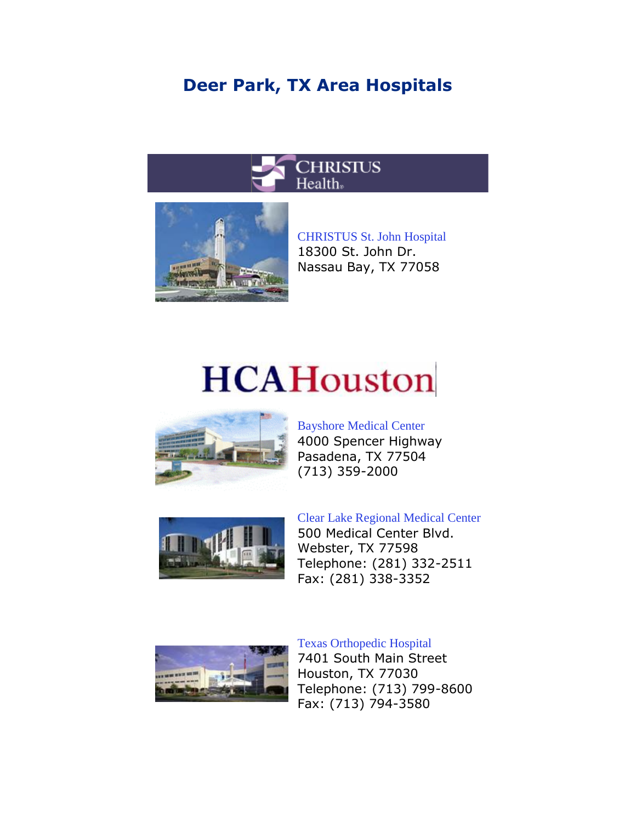## **Deer Park, TX Area Hospitals**





[CHRISTUS St. John Hospital](http://www.christusstjohn.org/) 18300 St. John Dr. Nassau Bay, TX 77058

# **HCAHouston**



Bayshore [Medical Center](http://www.bayshoremedical.com/)  4000 Spencer Highway Pasadena, TX 77504 (713) 359-2000



[Clear Lake Regional Medical Center](http://www.clearlakermc.com/) 500 Medical Center Blvd. Webster, TX 77598 Telephone: (281) 332-2511

Fax: (281) 338-3352



#### [Texas Orthopedic Hospital](http://www.texasorthopedic.com/)

7401 South Main Street Houston, TX 77030 Telephone: (713) 799-8600 Fax: (713) 794-3580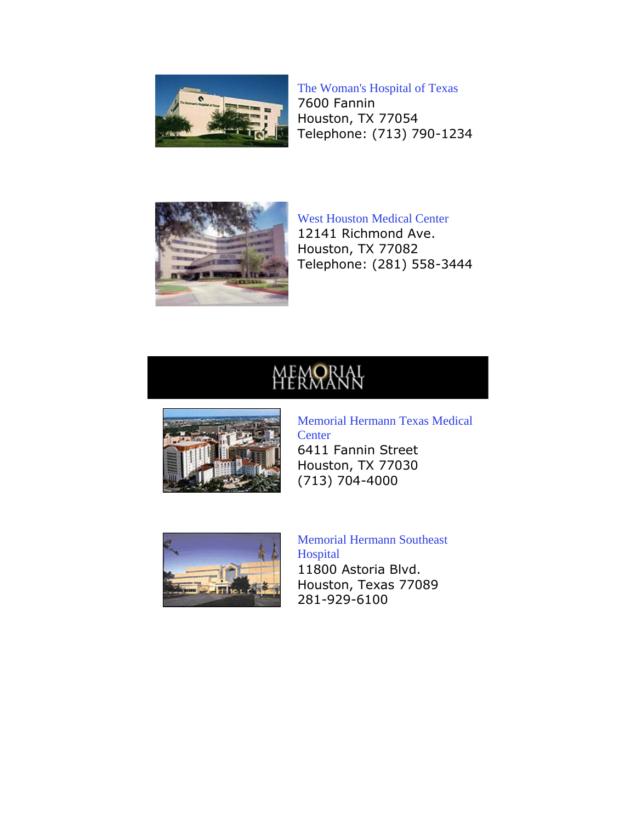

#### [The Woman's Hospital of Texas](http://www.womanshospital.com/)

7600 Fannin Houston, TX 77054 Telephone: (713) 790-1234



[West Houston Medical Center](http://www.westhoustonmedical.com/) 12141 Richmond Ave. Houston, TX 77082 Telephone: (281) 558-3444

# **MEMORIAL**



[Memorial Hermann Texas Medical](http://www.memorialhermann.org/locations/HE.html)  **[Center](http://www.memorialhermann.org/locations/HE.html)** 6411 Fannin Street Houston, TX 77030 (713) 704-4000



[Memorial Hermann Southeast](http://www.memorialhermann.org/locations/SE.html)  [Hospital](http://www.memorialhermann.org/locations/SE.html) 11800 Astoria Blvd. Houston, Texas 77089 281-929-6100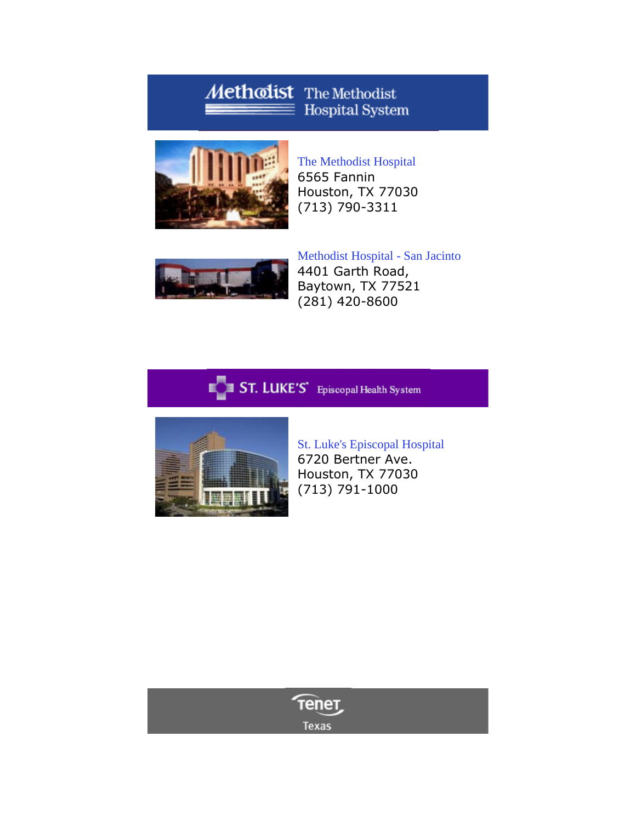### Methodist The Methodist  $\equiv$  Hospital System



[The Methodist Hospital](http://www.methodisthealth.com/) 6565 Fannin Houston, TX 77030 (713) 790-3311



[Methodist Hospital -](http://www.sanjacintomethodist.com/) San Jacinto 4401 Garth Road, Baytown, TX 77521 (281) 420-8600





[St. Luke's Episcopal Hospital](http://www.sleh.com/) 6720 Bertner Ave. Houston, TX 77030 (713) 791-1000